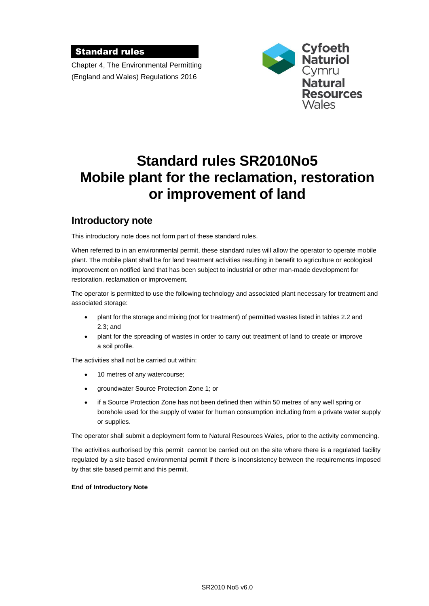#### Standard rules

Chapter 4, The Environmental Permitting (England and Wales) Regulations 2016



# **Standard rules SR2010No5 Mobile plant for the reclamation, restoration or improvement of land**

### **Introductory note**

This introductory note does not form part of these standard rules.

When referred to in an environmental permit, these standard rules will allow the operator to operate mobile plant. The mobile plant shall be for land treatment activities resulting in benefit to agriculture or ecological improvement on notified land that has been subject to industrial or other man-made development for restoration, reclamation or improvement.

The operator is permitted to use the following technology and associated plant necessary for treatment and associated storage:

- plant for the storage and mixing (not for treatment) of permitted wastes listed in tables 2.2 and 2.3; and
- plant for the spreading of wastes in order to carry out treatment of land to create or improve a soil profile.

The activities shall not be carried out within:

- 10 metres of any watercourse;
- groundwater Source Protection Zone 1; or
- if a Source Protection Zone has not been defined then within 50 metres of any well spring or borehole used for the supply of water for human consumption including from a private water supply or supplies.

The operator shall submit a deployment form to Natural Resources Wales, prior to the activity commencing.

The activities authorised by this permit cannot be carried out on the site where there is a regulated facility regulated by a site based environmental permit if there is inconsistency between the requirements imposed by that site based permit and this permit.

#### **End of Introductory Note**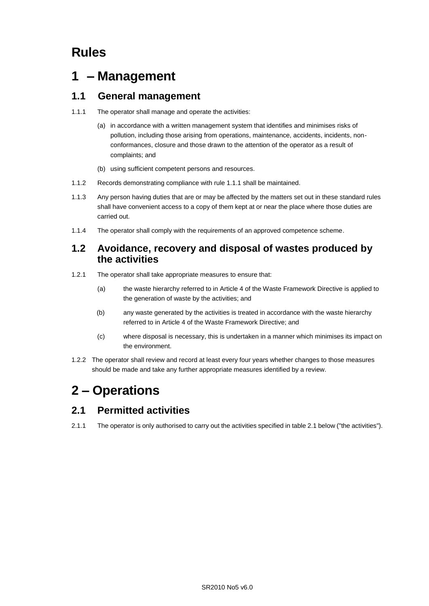# **Rules**

## **1 – Management**

### **1.1 General management**

- 1.1.1 The operator shall manage and operate the activities:
	- (a) in accordance with a written management system that identifies and minimises risks of pollution, including those arising from operations, maintenance, accidents, incidents, nonconformances, closure and those drawn to the attention of the operator as a result of complaints; and
	- (b) using sufficient competent persons and resources.
- 1.1.2 Records demonstrating compliance with rule 1.1.1 shall be maintained.
- 1.1.3 Any person having duties that are or may be affected by the matters set out in these standard rules shall have convenient access to a copy of them kept at or near the place where those duties are carried out.
- 1.1.4 The operator shall comply with the requirements of an approved competence scheme.

### **1.2 Avoidance, recovery and disposal of wastes produced by the activities**

- 1.2.1 The operator shall take appropriate measures to ensure that:
	- (a) the waste hierarchy referred to in Article 4 of the Waste Framework Directive is applied to the generation of waste by the activities; and
	- (b) any waste generated by the activities is treated in accordance with the waste hierarchy referred to in Article 4 of the Waste Framework Directive; and
	- (c) where disposal is necessary, this is undertaken in a manner which minimises its impact on the environment.
- 1.2.2 The operator shall review and record at least every four years whether changes to those measures should be made and take any further appropriate measures identified by a review.

# **2 – Operations**

### **2.1 Permitted activities**

2.1.1 The operator is only authorised to carry out the activities specified in table 2.1 below ("the activities").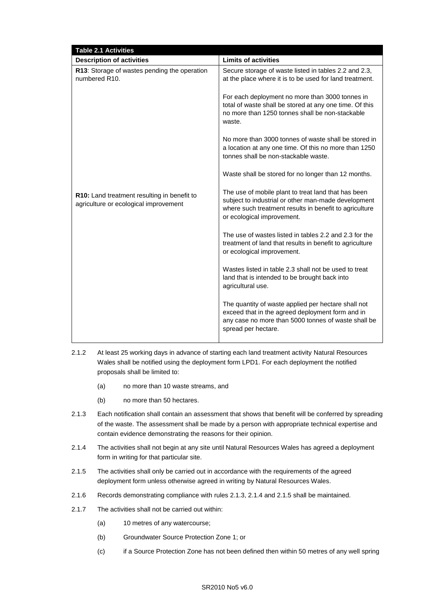| <b>Table 2.1 Activities</b>                                                          |                                                                                                                                                                                                    |  |
|--------------------------------------------------------------------------------------|----------------------------------------------------------------------------------------------------------------------------------------------------------------------------------------------------|--|
| <b>Description of activities</b>                                                     | <b>Limits of activities</b>                                                                                                                                                                        |  |
| R13: Storage of wastes pending the operation<br>numbered R <sub>10</sub> .           | Secure storage of waste listed in tables 2.2 and 2.3,<br>at the place where it is to be used for land treatment.                                                                                   |  |
|                                                                                      | For each deployment no more than 3000 tonnes in<br>total of waste shall be stored at any one time. Of this<br>no more than 1250 tonnes shall be non-stackable<br>waste.                            |  |
|                                                                                      | No more than 3000 tonnes of waste shall be stored in<br>a location at any one time. Of this no more than 1250<br>tonnes shall be non-stackable waste.                                              |  |
|                                                                                      | Waste shall be stored for no longer than 12 months.                                                                                                                                                |  |
| R10: Land treatment resulting in benefit to<br>agriculture or ecological improvement | The use of mobile plant to treat land that has been<br>subject to industrial or other man-made development<br>where such treatment results in benefit to agriculture<br>or ecological improvement. |  |
|                                                                                      | The use of wastes listed in tables 2.2 and 2.3 for the<br>treatment of land that results in benefit to agriculture<br>or ecological improvement.                                                   |  |
|                                                                                      | Wastes listed in table 2.3 shall not be used to treat<br>land that is intended to be brought back into<br>agricultural use.                                                                        |  |
|                                                                                      | The quantity of waste applied per hectare shall not<br>exceed that in the agreed deployment form and in<br>any case no more than 5000 tonnes of waste shall be<br>spread per hectare.              |  |

- 2.1.2 At least 25 working days in advance of starting each land treatment activity Natural Resources Wales shall be notified using the deployment form LPD1. For each deployment the notified proposals shall be limited to:
	- (a) no more than 10 waste streams, and
	- (b) no more than 50 hectares.
- 2.1.3 Each notification shall contain an assessment that shows that benefit will be conferred by spreading of the waste. The assessment shall be made by a person with appropriate technical expertise and contain evidence demonstrating the reasons for their opinion.
- 2.1.4 The activities shall not begin at any site until Natural Resources Wales has agreed a deployment form in writing for that particular site.
- 2.1.5 The activities shall only be carried out in accordance with the requirements of the agreed deployment form unless otherwise agreed in writing by Natural Resources Wales.
- 2.1.6 Records demonstrating compliance with rules 2.1.3, 2.1.4 and 2.1.5 shall be maintained.
- 2.1.7 The activities shall not be carried out within:
	- (a) 10 metres of any watercourse;
	- (b) Groundwater Source Protection Zone 1; or
	- (c) if a Source Protection Zone has not been defined then within 50 metres of any well spring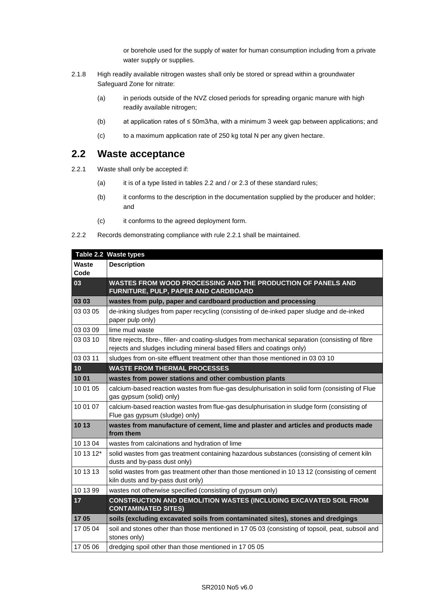or borehole used for the supply of water for human consumption including from a private water supply or supplies.

- 2.1.8 High readily available nitrogen wastes shall only be stored or spread within a groundwater Safeguard Zone for nitrate:
	- (a) in periods outside of the NVZ closed periods for spreading organic manure with high readily available nitrogen;
	- (b) at application rates of ≤ 50m3/ha, with a minimum 3 week gap between applications; and
	- (c) to a maximum application rate of 250 kg total N per any given hectare.

### **2.2 Waste acceptance**

- 2.2.1 Waste shall only be accepted if:
	- (a) it is of a type listed in tables 2.2 and / or 2.3 of these standard rules;
	- (b) it conforms to the description in the documentation supplied by the producer and holder; and
	- (c) it conforms to the agreed deployment form.
- 2.2.2 Records demonstrating compliance with rule 2.2.1 shall be maintained.

|               | Table 2.2 Waste types                                                                                                                                                        |
|---------------|------------------------------------------------------------------------------------------------------------------------------------------------------------------------------|
| Waste<br>Code | <b>Description</b>                                                                                                                                                           |
| 03            | WASTES FROM WOOD PROCESSING AND THE PRODUCTION OF PANELS AND<br>FURNITURE, PULP, PAPER AND CARDBOARD                                                                         |
| 03 03         | wastes from pulp, paper and cardboard production and processing                                                                                                              |
| 03 03 05      | de-inking sludges from paper recycling (consisting of de-inked paper sludge and de-inked<br>paper pulp only)                                                                 |
| 03 03 09      | lime mud waste                                                                                                                                                               |
| 03 03 10      | fibre rejects, fibre-, filler- and coating-sludges from mechanical separation (consisting of fibre<br>rejects and sludges including mineral based fillers and coatings only) |
| 03 03 11      | sludges from on-site effluent treatment other than those mentioned in 03 03 10                                                                                               |
| 10            | <b>WASTE FROM THERMAL PROCESSES</b>                                                                                                                                          |
| 10 01         | wastes from power stations and other combustion plants                                                                                                                       |
| 10 01 05      | calcium-based reaction wastes from flue-gas desulphurisation in solid form (consisting of Flue<br>gas gypsum (solid) only)                                                   |
| 10 01 07      | calcium-based reaction wastes from flue-gas desulphurisation in sludge form (consisting of<br>Flue gas gypsum (sludge) only)                                                 |
| 10 13         | wastes from manufacture of cement, lime and plaster and articles and products made<br>from them                                                                              |
| 10 13 04      | wastes from calcinations and hydration of lime                                                                                                                               |
| 10 13 12*     | solid wastes from gas treatment containing hazardous substances (consisting of cement kiln<br>dusts and by-pass dust only)                                                   |
| 10 13 13      | solid wastes from gas treatment other than those mentioned in 10 13 12 (consisting of cement<br>kiln dusts and by-pass dust only)                                            |
| 10 13 99      | wastes not otherwise specified (consisting of gypsum only)                                                                                                                   |
| 17            | CONSTRUCTION AND DEMOLITION WASTES (INCLUDING EXCAVATED SOIL FROM<br><b>CONTAMINATED SITES)</b>                                                                              |
| 1705          | soils (excluding excavated soils from contaminated sites), stones and dredgings                                                                                              |
| 17 05 04      | soil and stones other than those mentioned in 17 05 03 (consisting of topsoil, peat, subsoil and<br>stones only)                                                             |
| 17 05 06      | dredging spoil other than those mentioned in 17 05 05                                                                                                                        |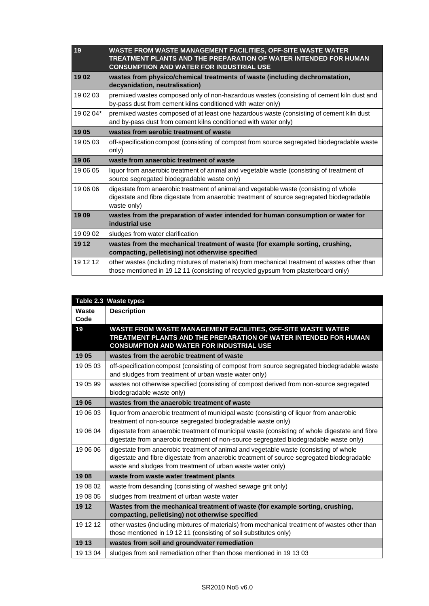| 19        | WASTE FROM WASTE MANAGEMENT FACILITIES, OFF-SITE WASTE WATER<br><b>TREATMENT PLANTS AND THE PREPARATION OF WATER INTENDED FOR HUMAN</b><br><b>CONSUMPTION AND WATER FOR INDUSTRIAL USE</b>        |
|-----------|---------------------------------------------------------------------------------------------------------------------------------------------------------------------------------------------------|
| 1902      | wastes from physico/chemical treatments of waste (including dechromatation,<br>decyanidation, neutralisation)                                                                                     |
| 19 02 03  | premixed wastes composed only of non-hazardous wastes (consisting of cement kiln dust and<br>by-pass dust from cement kilns conditioned with water only)                                          |
| 19 02 04* | premixed wastes composed of at least one hazardous waste (consisting of cement kiln dust<br>and by-pass dust from cement kilns conditioned with water only)                                       |
| 1905      | wastes from aerobic treatment of waste                                                                                                                                                            |
| 19 05 03  | off-specification compost (consisting of compost from source segregated biodegradable waste<br>only)                                                                                              |
| 1906      | waste from anaerobic treatment of waste                                                                                                                                                           |
| 19 06 05  | liquor from anaerobic treatment of animal and vegetable waste (consisting of treatment of<br>source segregated biodegradable waste only)                                                          |
| 19 06 06  | digestate from anaerobic treatment of animal and vegetable waste (consisting of whole<br>digestate and fibre digestate from anaerobic treatment of source segregated biodegradable<br>waste only) |
| 1909      | wastes from the preparation of water intended for human consumption or water for<br>industrial use                                                                                                |
| 19 09 02  | sludges from water clarification                                                                                                                                                                  |
| 19 12     | wastes from the mechanical treatment of waste (for example sorting, crushing,<br>compacting, pelletising) not otherwise specified                                                                 |
| 19 12 12  | other wastes (including mixtures of materials) from mechanical treatment of wastes other than<br>those mentioned in 19 12 11 (consisting of recycled gypsum from plasterboard only)               |

| Table 2.3 Waste types |                                                                                                                                                                                                                                                   |  |
|-----------------------|---------------------------------------------------------------------------------------------------------------------------------------------------------------------------------------------------------------------------------------------------|--|
| Waste<br>Code         | <b>Description</b>                                                                                                                                                                                                                                |  |
| 19                    | WASTE FROM WASTE MANAGEMENT FACILITIES, OFF-SITE WASTE WATER<br>TREATMENT PLANTS AND THE PREPARATION OF WATER INTENDED FOR HUMAN<br><b>CONSUMPTION AND WATER FOR INDUSTRIAL USE</b>                                                               |  |
| 1905                  | wastes from the aerobic treatment of waste                                                                                                                                                                                                        |  |
| 19 05 03              | off-specification compost (consisting of compost from source segregated biodegradable waste<br>and sludges from treatment of urban waste water only)                                                                                              |  |
| 19 05 99              | wastes not otherwise specified (consisting of compost derived from non-source segregated<br>biodegradable waste only)                                                                                                                             |  |
| 1906                  | wastes from the anaerobic treatment of waste                                                                                                                                                                                                      |  |
| 19 06 03              | liquor from anaerobic treatment of municipal waste (consisting of liquor from anaerobic<br>treatment of non-source segregated biodegradable waste only)                                                                                           |  |
| 19 06 04              | digestate from anaerobic treatment of municipal waste (consisting of whole digestate and fibre<br>digestate from anaerobic treatment of non-source segregated biodegradable waste only)                                                           |  |
| 19 06 06              | digestate from anaerobic treatment of animal and vegetable waste (consisting of whole<br>digestate and fibre digestate from anaerobic treatment of source segregated biodegradable<br>waste and sludges from treatment of urban waste water only) |  |
| 1908                  | waste from waste water treatment plants                                                                                                                                                                                                           |  |
| 19 08 02              | waste from desanding (consisting of washed sewage grit only)                                                                                                                                                                                      |  |
| 19 08 05              | sludges from treatment of urban waste water                                                                                                                                                                                                       |  |
| 19 12                 | Wastes from the mechanical treatment of waste (for example sorting, crushing,                                                                                                                                                                     |  |
|                       | compacting, pelletising) not otherwise specified                                                                                                                                                                                                  |  |
| 19 12 12              | other wastes (including mixtures of materials) from mechanical treatment of wastes other than                                                                                                                                                     |  |
|                       | those mentioned in 19 12 11 (consisting of soil substitutes only)                                                                                                                                                                                 |  |
| 19 13                 | wastes from soil and groundwater remediation                                                                                                                                                                                                      |  |
| 19 13 04              | sludges from soil remediation other than those mentioned in 19 13 03                                                                                                                                                                              |  |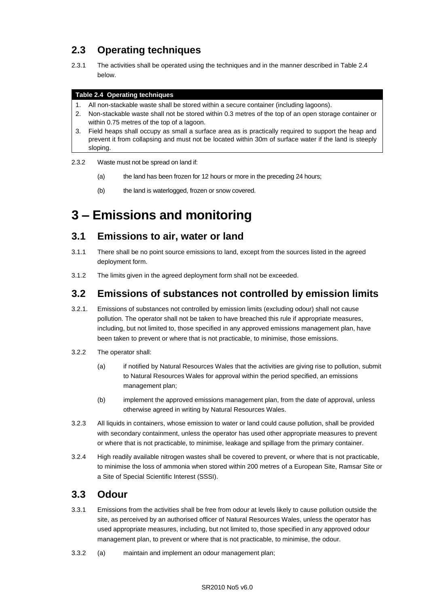### **2.3 Operating techniques**

2.3.1 The activities shall be operated using the techniques and in the manner described in Table 2.4 below.

#### **Table 2.4 Operating techniques**

- 1. All non-stackable waste shall be stored within a secure container (including lagoons).
- 2. Non-stackable waste shall not be stored within 0.3 metres of the top of an open storage container or within 0.75 metres of the top of a lagoon.
- 3. Field heaps shall occupy as small a surface area as is practically required to support the heap and prevent it from collapsing and must not be located within 30m of surface water if the land is steeply sloping.
- 2.3.2 Waste must not be spread on land if:
	- (a) the land has been frozen for 12 hours or more in the preceding 24 hours;
	- (b) the land is waterlogged, frozen or snow covered.

# **3 – Emissions and monitoring**

### **3.1 Emissions to air, water or land**

- 3.1.1 There shall be no point source emissions to land, except from the sources listed in the agreed deployment form.
- 3.1.2 The limits given in the agreed deployment form shall not be exceeded.

### **3.2 Emissions of substances not controlled by emission limits**

- 3.2.1. Emissions of substances not controlled by emission limits (excluding odour) shall not cause pollution. The operator shall not be taken to have breached this rule if appropriate measures, including, but not limited to, those specified in any approved emissions management plan, have been taken to prevent or where that is not practicable, to minimise, those emissions.
- 3.2.2 The operator shall:
	- (a) if notified by Natural Resources Wales that the activities are giving rise to pollution, submit to Natural Resources Wales for approval within the period specified, an emissions management plan;
	- (b) implement the approved emissions management plan, from the date of approval, unless otherwise agreed in writing by Natural Resources Wales.
- 3.2.3 All liquids in containers, whose emission to water or land could cause pollution, shall be provided with secondary containment, unless the operator has used other appropriate measures to prevent or where that is not practicable, to minimise, leakage and spillage from the primary container.
- 3.2.4 High readily available nitrogen wastes shall be covered to prevent, or where that is not practicable, to minimise the loss of ammonia when stored within 200 metres of a European Site, Ramsar Site or a Site of Special Scientific Interest (SSSI).

### **3.3 Odour**

- 3.3.1 Emissions from the activities shall be free from odour at levels likely to cause pollution outside the site, as perceived by an authorised officer of Natural Resources Wales, unless the operator has used appropriate measures, including, but not limited to, those specified in any approved odour management plan, to prevent or where that is not practicable, to minimise, the odour.
- 3.3.2 (a) maintain and implement an odour management plan;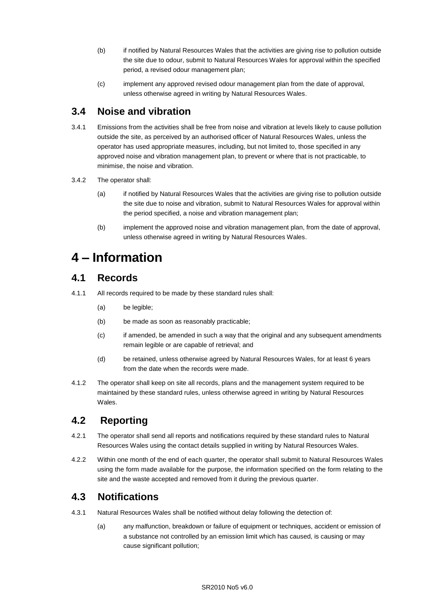- (b) if notified by Natural Resources Wales that the activities are giving rise to pollution outside the site due to odour, submit to Natural Resources Wales for approval within the specified period, a revised odour management plan;
- (c) implement any approved revised odour management plan from the date of approval, unless otherwise agreed in writing by Natural Resources Wales.

### **3.4 Noise and vibration**

- 3.4.1 Emissions from the activities shall be free from noise and vibration at levels likely to cause pollution outside the site, as perceived by an authorised officer of Natural Resources Wales, unless the operator has used appropriate measures, including, but not limited to, those specified in any approved noise and vibration management plan, to prevent or where that is not practicable, to minimise, the noise and vibration.
- 3.4.2 The operator shall:
	- (a) if notified by Natural Resources Wales that the activities are giving rise to pollution outside the site due to noise and vibration, submit to Natural Resources Wales for approval within the period specified, a noise and vibration management plan;
	- (b) implement the approved noise and vibration management plan, from the date of approval, unless otherwise agreed in writing by Natural Resources Wales.

## **4 – Information**

### **4.1 Records**

- 4.1.1 All records required to be made by these standard rules shall:
	- (a) be legible;
	- (b) be made as soon as reasonably practicable;
	- (c) if amended, be amended in such a way that the original and any subsequent amendments remain legible or are capable of retrieval; and
	- (d) be retained, unless otherwise agreed by Natural Resources Wales, for at least 6 years from the date when the records were made.
- 4.1.2 The operator shall keep on site all records, plans and the management system required to be maintained by these standard rules, unless otherwise agreed in writing by Natural Resources Wales.

### **4.2 Reporting**

- 4.2.1 The operator shall send all reports and notifications required by these standard rules to Natural Resources Wales using the contact details supplied in writing by Natural Resources Wales.
- 4.2.2 Within one month of the end of each quarter, the operator shall submit to Natural Resources Wales using the form made available for the purpose, the information specified on the form relating to the site and the waste accepted and removed from it during the previous quarter.

### **4.3 Notifications**

- 4.3.1 Natural Resources Wales shall be notified without delay following the detection of:
	- (a) any malfunction, breakdown or failure of equipment or techniques, accident or emission of a substance not controlled by an emission limit which has caused, is causing or may cause significant pollution;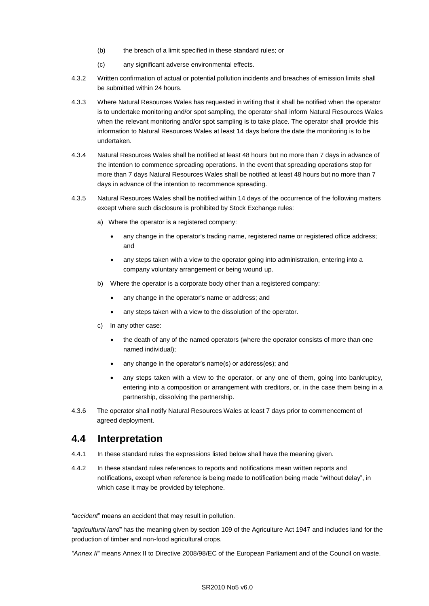- (b) the breach of a limit specified in these standard rules; or
- (c) any significant adverse environmental effects.
- 4.3.2 Written confirmation of actual or potential pollution incidents and breaches of emission limits shall be submitted within 24 hours.
- 4.3.3 Where Natural Resources Wales has requested in writing that it shall be notified when the operator is to undertake monitoring and/or spot sampling, the operator shall inform Natural Resources Wales when the relevant monitoring and/or spot sampling is to take place. The operator shall provide this information to Natural Resources Wales at least 14 days before the date the monitoring is to be undertaken.
- 4.3.4 Natural Resources Wales shall be notified at least 48 hours but no more than 7 days in advance of the intention to commence spreading operations. In the event that spreading operations stop for more than 7 days Natural Resources Wales shall be notified at least 48 hours but no more than 7 days in advance of the intention to recommence spreading.
- 4.3.5 Natural Resources Wales shall be notified within 14 days of the occurrence of the following matters except where such disclosure is prohibited by Stock Exchange rules:
	- a) Where the operator is a registered company:
		- any change in the operator's trading name, registered name or registered office address; and
		- any steps taken with a view to the operator going into administration, entering into a company voluntary arrangement or being wound up.
	- b) Where the operator is a corporate body other than a registered company:
		- any change in the operator's name or address; and
		- any steps taken with a view to the dissolution of the operator.
	- c) In any other case:
		- the death of any of the named operators (where the operator consists of more than one named individual);
		- any change in the operator's name(s) or address(es); and
		- any steps taken with a view to the operator, or any one of them, going into bankruptcy, entering into a composition or arrangement with creditors, or, in the case them being in a partnership, dissolving the partnership.
- 4.3.6 The operator shall notify Natural Resources Wales at least 7 days prior to commencement of agreed deployment.

### **4.4 Interpretation**

- 4.4.1 In these standard rules the expressions listed below shall have the meaning given.
- 4.4.2 In these standard rules references to reports and notifications mean written reports and notifications, except when reference is being made to notification being made "without delay", in which case it may be provided by telephone.

*"accident*" means an accident that may result in pollution.

*"agricultural land"* has the meaning given by section 109 of the Agriculture Act 1947 and includes land for the production of timber and non-food agricultural crops.

*"Annex II"* means Annex II to Directive 2008/98/EC of the European Parliament and of the Council on waste.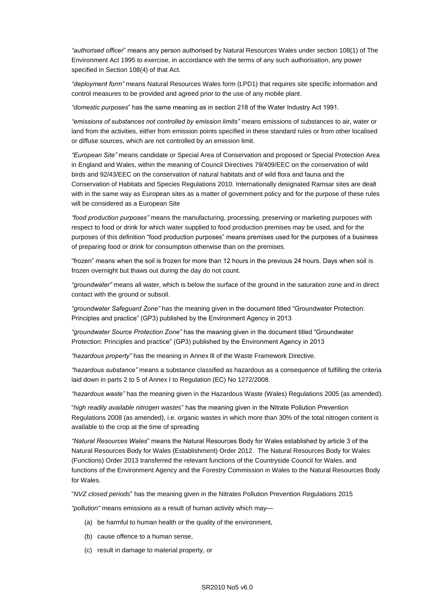*"authorised officer*" means any person authorised by Natural Resources Wales under section 108(1) of The Environment Act 1995 to exercise, in accordance with the terms of any such authorisation, any power specified in Section 108(4) of that Act*.*

*"deployment form"* means Natural Resources Wales form (LPD1) that requires site specific information and control measures to be provided and agreed prior to the use of any mobile plant.

*"domestic purposes*" has the same meaning as in section 218 of the Water Industry Act 1991.

*"emissions of substances not controlled by emission limits"* means emissions of substances to air, water or land from the activities, either from emission points specified in these standard rules or from other localised or diffuse sources, which are not controlled by an emission limit.

*"European Site"* means candidate or Special Area of Conservation and proposed or Special Protection Area in England and Wales, within the meaning of Council Directives 79/409/EEC on the conservation of wild birds and 92/43/EEC on the conservation of natural habitats and of wild flora and fauna and the Conservation of Habitats and Species Regulations 2010. Internationally designated Ramsar sites are dealt with in the same way as European sites as a matter of government policy and for the purpose of these rules will be considered as a European Site

*"food production purposes"* means the manufacturing, processing, preserving or marketing purposes with respect to food or drink for which water supplied to food production premises may be used, and for the purposes of this definition "food production purposes" means premises used for the purposes of a business of preparing food or drink for consumption otherwise than on the premises.

"frozen" means when the soil is frozen for more than 12 hours in the previous 24 hours. Days when soil is frozen overnight but thaws out during the day do not count.

*"groundwater"* means all water, which is below the surface of the ground in the saturation zone and in direct contact with the ground or subsoil.

*"groundwater Safeguard Zone"* has the meaning given in the document titled "Groundwater Protection: Principles and practice" (GP3) published by the Environment Agency in 2013

*"groundwater Source Protection Zone"* has the meaning given in the document titled "Groundwater Protection: Principles and practice" (GP3) published by the Environment Agency in 2013

*"hazardous property"* has the meaning in Annex lll of the Waste Framework Directive.

*"hazardous substance"* means a substance classified as hazardous as a consequence of fulfilling the criteria laid down in parts 2 to 5 of Annex I to Regulation (EC) No 1272/2008.

*"hazardous waste"* has the meaning given in the Hazardous Waste (Wales) Regulations 2005 (as amended).

"*high readily available nitrogen wastes*" has the meaning given in the Nitrate Pollution Prevention Regulations 2008 (as amended), i.e. organic wastes in which more than 30% of the total nitrogen content is available to the crop at the time of spreading

*"Natural Resources Wales*" means the Natural Resources Body for Wales established by article 3 of the Natural Resources Body for Wales (Establishment) Order 2012. The Natural Resources Body for Wales (Functions) Order 2013 transferred the relevant functions of the Countryside Council for Wales, and functions of the Environment Agency and the Forestry Commission in Wales to the Natural Resources Body for Wales.

"*NVZ closed periods*" has the meaning given in the Nitrates Pollution Prevention Regulations 2015

*"pollution"* means emissions as a result of human activity which may—

- (a) be harmful to human health or the quality of the environment,
- (b) cause offence to a human sense,
- (c) result in damage to material property, or